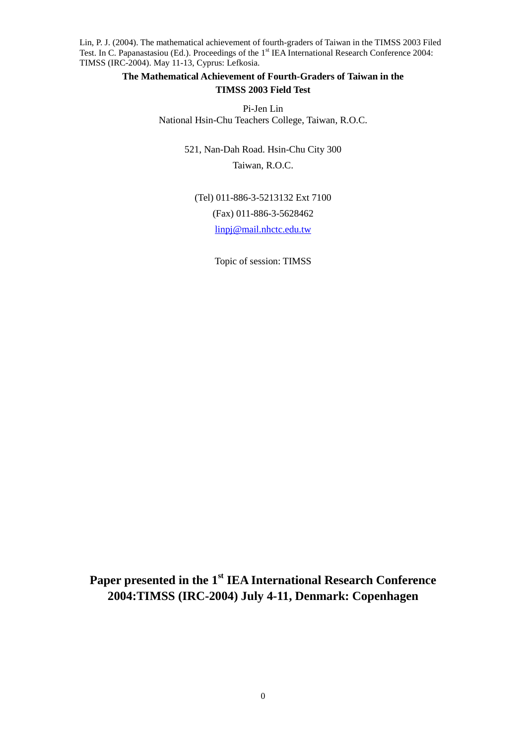## **The Mathematical Achievement of Fourth-Graders of Taiwan in the TIMSS 2003 Field Test**

Pi-Jen Lin National Hsin-Chu Teachers College, Taiwan, R.O.C.

> 521, Nan-Dah Road. Hsin-Chu City 300 Taiwan, R.O.C.

(Tel) 011-886-3-5213132 Ext 7100 (Fax) 011-886-3-5628462 linpj@mail.nhctc.edu.tw

Topic of session: TIMSS

**Paper presented in the 1st IEA International Research Conference 2004:TIMSS (IRC-2004) July 4-11, Denmark: Copenhagen**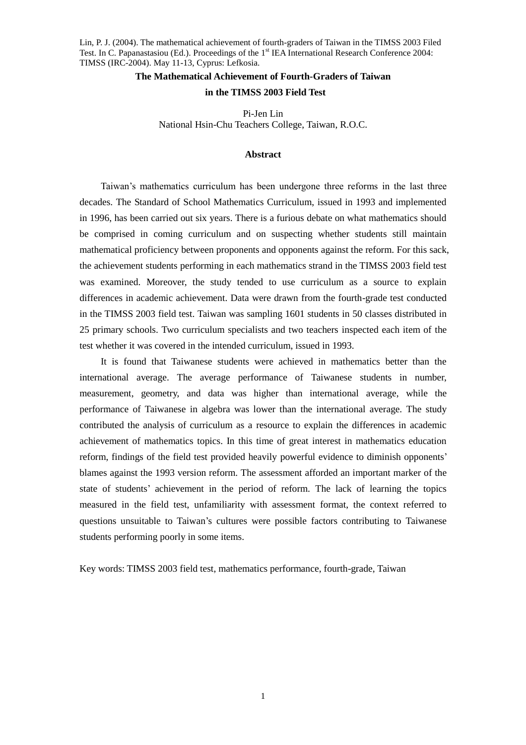## **The Mathematical Achievement of Fourth-Graders of Taiwan**

## **in the TIMSS 2003 Field Test**

Pi-Jen Lin National Hsin-Chu Teachers College, Taiwan, R.O.C.

## **Abstract**

Taiwan's mathematics curriculum has been undergone three reforms in the last three decades. The Standard of School Mathematics Curriculum, issued in 1993 and implemented in 1996, has been carried out six years. There is a furious debate on what mathematics should be comprised in coming curriculum and on suspecting whether students still maintain mathematical proficiency between proponents and opponents against the reform. For this sack, the achievement students performing in each mathematics strand in the TIMSS 2003 field test was examined. Moreover, the study tended to use curriculum as a source to explain differences in academic achievement. Data were drawn from the fourth-grade test conducted in the TIMSS 2003 field test. Taiwan was sampling 1601 students in 50 classes distributed in 25 primary schools. Two curriculum specialists and two teachers inspected each item of the test whether it was covered in the intended curriculum, issued in 1993.

It is found that Taiwanese students were achieved in mathematics better than the international average. The average performance of Taiwanese students in number, measurement, geometry, and data was higher than international average, while the performance of Taiwanese in algebra was lower than the international average. The study contributed the analysis of curriculum as a resource to explain the differences in academic achievement of mathematics topics. In this time of great interest in mathematics education reform, findings of the field test provided heavily powerful evidence to diminish opponents' blames against the 1993 version reform. The assessment afforded an important marker of the state of students'achievement in the period of reform. The lack of learning the topics measured in the field test, unfamiliarity with assessment format, the context referred to questions unsuitable to Taiwan's cultures were possible factors contributing to Taiwanese students performing poorly in some items.

Key words: TIMSS 2003 field test, mathematics performance, fourth-grade, Taiwan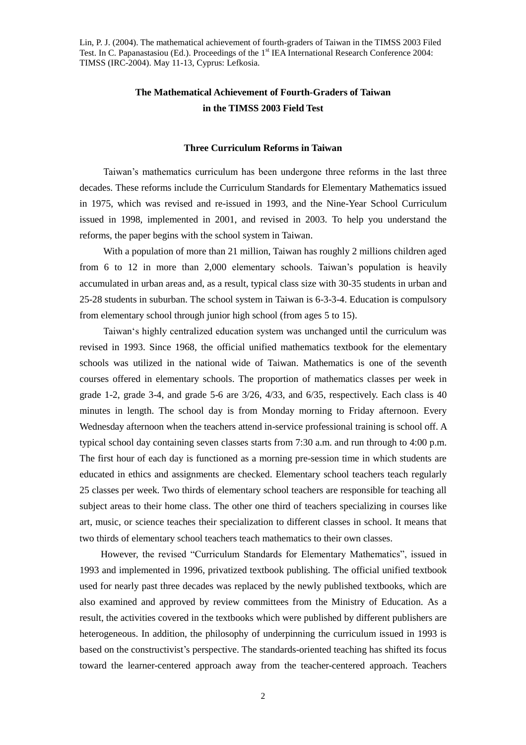# **The Mathematical Achievement of Fourth-Graders of Taiwan in the TIMSS 2003 Field Test**

#### **Three Curriculum Reforms in Taiwan**

Taiwan's mathematics curriculum has been undergone three reforms in the last three decades. These reforms include the Curriculum Standards for Elementary Mathematics issued in 1975, which was revised and re-issued in 1993, and the Nine-Year School Curriculum issued in 1998, implemented in 2001, and revised in 2003. To help you understand the reforms, the paper begins with the school system in Taiwan.

With a population of more than 21 million, Taiwan has roughly 2 millions children aged from 6 to 12 in more than  $2,000$  elementary schools. Taiwan's population is heavily accumulated in urban areas and, as a result, typical class size with 30-35 students in urban and 25-28 students in suburban. The school system in Taiwan is 6-3-3-4. Education is compulsory from elementary school through junior high school (from ages 5 to 15).

Taiwan's highly centralized education system was unchanged until the curriculum was revised in 1993. Since 1968, the official unified mathematics textbook for the elementary schools was utilized in the national wide of Taiwan. Mathematics is one of the seventh courses offered in elementary schools. The proportion of mathematics classes per week in grade 1-2, grade 3-4, and grade 5-6 are  $3/26$ ,  $4/33$ , and  $6/35$ , respectively. Each class is  $40$ minutes in length. The school day is from Monday morning to Friday afternoon. Every Wednesday afternoon when the teachers attend in-service professional training is school off. A typical school day containing seven classes starts from 7:30 a.m. and run through to 4:00 p.m. The first hour of each day is functioned as a morning pre-session time in which students are educated in ethics and assignments are checked. Elementary school teachers teach regularly 25 classes per week. Two thirds of elementary school teachers are responsible for teaching all subject areas to their home class. The other one third of teachers specializing in courses like art, music, or science teaches their specialization to different classes in school. It means that two thirds of elementary school teachers teach mathematics to their own classes.

However, the revised "Curriculum Standards for Elementary Mathematics", issued in 1993 and implemented in 1996, privatized textbook publishing. The official unified textbook used for nearly past three decades was replaced by the newly published textbooks, which are also examined and approved by review committees from the Ministry of Education. As a result, the activities covered in the textbooks which were published by different publishers are heterogeneous. In addition, the philosophy of underpinning the curriculum issued in 1993 is based on the constructivist's perspective. The standards-oriented teaching has shifted its focus toward the learner-centered approach away from the teacher-centered approach. Teachers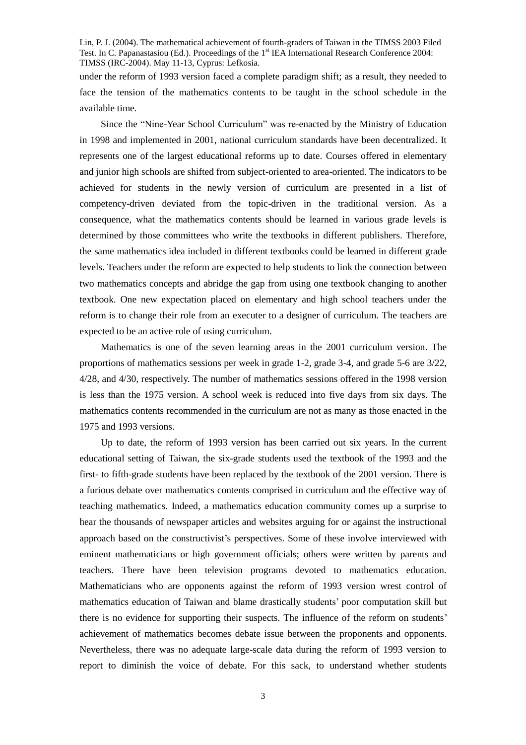under the reform of 1993 version faced a complete paradigm shift; as a result, they needed to face the tension of the mathematics contents to be taught in the school schedule in the available time.

Since the "Nine-Year School Curriculum" was re-enacted by the Ministry of Education in 1998 and implemented in 2001, national curriculum standards have been decentralized. It represents one of the largest educational reforms up to date. Courses offered in elementary and junior high schools are shifted from subject-oriented to area-oriented. The indicators to be achieved for students in the newly version of curriculum are presented in a list of competency-driven deviated from the topic-driven in the traditional version. As a consequence, what the mathematics contents should be learned in various grade levels is determined by those committees who write the textbooks in different publishers. Therefore, the same mathematics idea included in different textbooks could be learned in different grade levels. Teachers under the reform are expected to help students to link the connection between two mathematics concepts and abridge the gap from using one textbook changing to another textbook. One new expectation placed on elementary and high school teachers under the reform is to change their role from an executer to a designer of curriculum. The teachers are expected to be an active role of using curriculum.

Mathematics is one of the seven learning areas in the 2001 curriculum version. The proportions of mathematics sessions per week in grade 1-2, grade 3-4, and grade 5-6 are 3/22, 4/28, and 4/30, respectively. The number of mathematics sessions offered in the 1998 version is less than the 1975 version. A school week is reduced into five days from six days. The mathematics contents recommended in the curriculum are not as many as those enacted in the 1975 and 1993 versions.

Up to date, the reform of 1993 version has been carried out six years. In the current educational setting of Taiwan, the six-grade students used the textbook of the 1993 and the first- to fifth-grade students have been replaced by the textbook of the 2001 version. There is a furious debate over mathematics contents comprised in curriculum and the effective way of teaching mathematics. Indeed, a mathematics education community comes up a surprise to hear the thousands of newspaper articles and websites arguing for or against the instructional approach based on the constructivist's perspectives. Some of these involve interviewed with eminent mathematicians or high government officials; others were written by parents and teachers. There have been television programs devoted to mathematics education. Mathematicians who are opponents against the reform of 1993 version wrest control of mathematics education of Taiwan and blame drastically students'poor computation skill but there is no evidence for supporting their suspects. The influence of the reform on students' achievement of mathematics becomes debate issue between the proponents and opponents. Nevertheless, there was no adequate large-scale data during the reform of 1993 version to report to diminish the voice of debate. For this sack, to understand whether students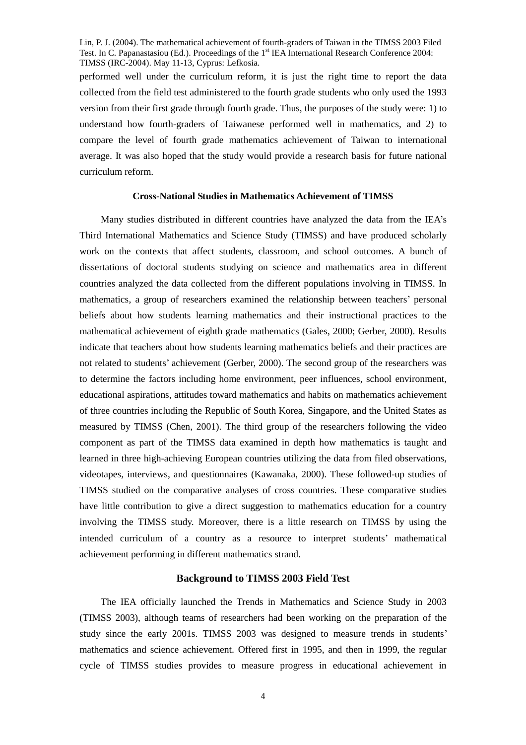performed well under the curriculum reform, it is just the right time to report the data collected from the field test administered to the fourth grade students who only used the 1993 version from their first grade through fourth grade. Thus, the purposes of the study were: 1) to understand how fourth-graders of Taiwanese performed well in mathematics, and 2) to compare the level of fourth grade mathematics achievement of Taiwan to international average. It was also hoped that the study would provide a research basis for future national curriculum reform.

#### **Cross-National Studies in Mathematics Achievement of TIMSS**

Many studies distributed in different countries have analyzed the data from the IEA's Third International Mathematics and Science Study (TIMSS) and have produced scholarly work on the contexts that affect students, classroom, and school outcomes. A bunch of dissertations of doctoral students studying on science and mathematics area in different countries analyzed the data collected from the different populations involving in TIMSS. In mathematics, a group of researchers examined the relationship between teachers'personal beliefs about how students learning mathematics and their instructional practices to the mathematical achievement of eighth grade mathematics (Gales, 2000; Gerber, 2000). Results indicate that teachers about how students learning mathematics beliefs and their practices are not related to students'achievement (Gerber, 2000). The second group of the researchers was to determine the factors including home environment, peer influences, school environment, educational aspirations, attitudes toward mathematics and habits on mathematics achievement of three countries including the Republic of South Korea, Singapore, and the United States as measured by TIMSS (Chen, 2001). The third group of the researchers following the video component as part of the TIMSS data examined in depth how mathematics is taught and learned in three high-achieving European countries utilizing the data from filed observations, videotapes, interviews, and questionnaires (Kawanaka, 2000). These followed-up studies of TIMSS studied on the comparative analyses of cross countries. These comparative studies have little contribution to give a direct suggestion to mathematics education for a country involving the TIMSS study. Moreover, there is a little research on TIMSS by using the intended curriculum of a country as a resource to interpret students'mathematical achievement performing in different mathematics strand.

## **Background to TIMSS 2003 Field Test**

The IEA officially launched the Trends in Mathematics and Science Study in 2003 (TIMSS 2003), although teams of researchers had been working on the preparation of the study since the early 2001s. TIMSS 2003 was designed to measure trends in students' mathematics and science achievement. Offered first in 1995, and then in 1999, the regular cycle of TIMSS studies provides to measure progress in educational achievement in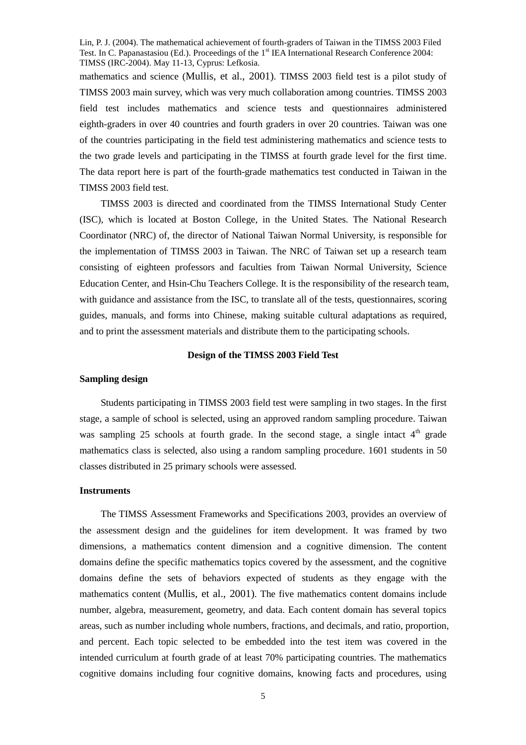mathematics and science (Mullis, et al., 2001). TIMSS 2003 field test is a pilot study of TIMSS 2003 main survey, which was very much collaboration among countries. TIMSS 2003 field test includes mathematics and science tests and questionnaires administered eighth-graders in over 40 countries and fourth graders in over 20 countries. Taiwan was one of the countries participating in the field test administering mathematics and science tests to the two grade levels and participating in the TIMSS at fourth grade level for the first time. The data report here is part of the fourth-grade mathematics test conducted in Taiwan in the TIMSS 2003 field test.

TIMSS 2003 is directed and coordinated from the TIMSS International Study Center (ISC), which is located at Boston College, in the United States. The National Research Coordinator (NRC) of, the director of National Taiwan Normal University, is responsible for the implementation of TIMSS 2003 in Taiwan. The NRC of Taiwan set up a research team consisting of eighteen professors and faculties from Taiwan Normal University, Science Education Center, and Hsin-Chu Teachers College. It is the responsibility of the research team, with guidance and assistance from the ISC, to translate all of the tests, questionnaires, scoring guides, manuals, and forms into Chinese, making suitable cultural adaptations as required, and to print the assessment materials and distribute them to the participating schools.

#### **Design of the TIMSS 2003 Field Test**

## **Sampling design**

Students participating in TIMSS 2003 field test were sampling in two stages. In the first stage, a sample of school is selected, using an approved random sampling procedure. Taiwan was sampling 25 schools at fourth grade. In the second stage, a single intact  $4<sup>th</sup>$  grade mathematics class is selected, also using a random sampling procedure. 1601 students in 50 classes distributed in 25 primary schools were assessed.

## **Instruments**

The TIMSS Assessment Frameworks and Specifications 2003, provides an overview of the assessment design and the guidelines for item development. It was framed by two dimensions, a mathematics content dimension and a cognitive dimension. The content domains define the specific mathematics topics covered by the assessment, and the cognitive domains define the sets of behaviors expected of students as they engage with the mathematics content (Mullis, et al., 2001). The five mathematics content domains include number, algebra, measurement, geometry, and data. Each content domain has several topics areas, such as number including whole numbers, fractions, and decimals, and ratio, proportion, and percent. Each topic selected to be embedded into the test item was covered in the intended curriculum at fourth grade of at least 70% participating countries. The mathematics cognitive domains including four cognitive domains, knowing facts and procedures, using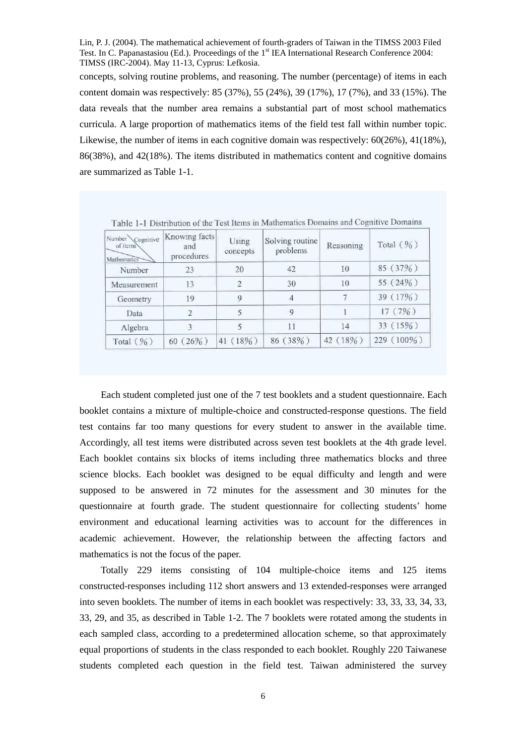concepts, solving routine problems, and reasoning. The number (percentage) of items in each content domain was respectively: 85 (37%), 55 (24%), 39 (17%), 17 (7%), and 33 (15%). The data reveals that the number area remains a substantial part of most school mathematics curricula. A large proportion of mathematics items of the field test fall within number topic. Likewise, the number of items in each cognitive domain was respectively: 60(26%), 41(18%), 86(38%), and 42(18%). The items distributed in mathematics content and cognitive domains are summarized as Table 1-1.

| Knowing facts<br>Number Cognitive<br>of items<br>and<br>procedures<br>Mathematics |            | Using<br>concepts | Solving routine<br>problems | Reasoning      | Total $(\frac{9}{6})$ |  |
|-----------------------------------------------------------------------------------|------------|-------------------|-----------------------------|----------------|-----------------------|--|
| Number                                                                            | 23         | 20                | 42                          | 10             | 85 (37%)              |  |
| Measurement                                                                       | 13         | $\overline{2}$    | 30                          | 10             | 55 $(24\%)$           |  |
| Geometry                                                                          | 19         | 9                 | 4                           |                | 39 (17%)              |  |
| Data                                                                              |            |                   | 9                           |                | 17 (7%)               |  |
| Algebra                                                                           |            |                   | 11                          | 14             | 33 (15%)              |  |
| Total $(\frac{9}{6})$                                                             | $60(26\%)$ | 41 (18%)          | 86 (38%)                    | $(18\%)$<br>42 | 229 (100%)            |  |

Table 1-1 Distribution of the Test Items in Mathematics Domains and Cognitive Domains

Each student completed just one of the 7 test booklets and a student questionnaire. Each booklet contains a mixture of multiple-choice and constructed-response questions. The field test contains far too many questions for every student to answer in the available time. Accordingly, all test items were distributed across seven test booklets at the 4th grade level. Each booklet contains six blocks of items including three mathematics blocks and three science blocks. Each booklet was designed to be equal difficulty and length and were supposed to be answered in 72 minutes for the assessment and 30 minutes for the questionnaire at fourth grade. The student questionnaire for collecting students'home environment and educational learning activities was to account for the differences in academic achievement. However, the relationship between the affecting factors and mathematics is not the focus of the paper.

Totally 229 items consisting of 104 multiple-choice items and 125 items constructed-responses including 112 short answers and 13 extended-responses were arranged into seven booklets. The number of items in each booklet was respectively: 33, 33, 33, 34, 33, 33, 29, and 35, as described in Table 1-2. The 7 booklets were rotated among the students in each sampled class, according to a predetermined allocation scheme, so that approximately equal proportions of students in the class responded to each booklet. Roughly 220 Taiwanese students completed each question in the field test. Taiwan administered the survey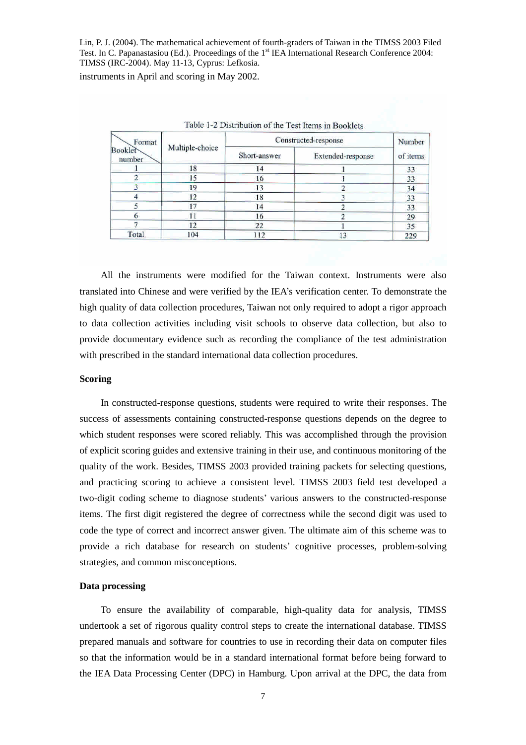instruments in April and scoring in May 2002.

| Format<br><b>Booklet</b><br>number |                 | Constructed-response | Number            |          |
|------------------------------------|-----------------|----------------------|-------------------|----------|
|                                    | Multiple-choice | Short-answer         | Extended-response | of items |
|                                    | 18              | 14                   |                   | 33       |
|                                    | 15              | 16                   |                   | 33       |
|                                    | 19              | 13                   |                   | 34       |
|                                    | 12              | 18                   |                   | 33       |
|                                    | 17              | 14                   |                   | 33       |
|                                    |                 | 16                   |                   | 29       |
|                                    | 12              | 22                   |                   | 35       |
| Total                              | 104             | 112                  | 13                | 229      |

Table 1.2 Distribution of the Test Items in Pooldets

All the instruments were modified for the Taiwan context. Instruments were also translated into Chinese and were verified by the IEA's verification center. To demonstrate the high quality of data collection procedures, Taiwan not only required to adopt a rigor approach to data collection activities including visit schools to observe data collection, but also to provide documentary evidence such as recording the compliance of the test administration with prescribed in the standard international data collection procedures.

#### **Scoring**

In constructed-response questions, students were required to write their responses. The success of assessments containing constructed-response questions depends on the degree to which student responses were scored reliably. This was accomplished through the provision of explicit scoring guides and extensive training in their use, and continuous monitoring of the quality of the work. Besides, TIMSS 2003 provided training packets for selecting questions, and practicing scoring to achieve a consistent level. TIMSS 2003 field test developed a two-digit coding scheme to diagnose students'various answers to the constructed-response items. The first digit registered the degree of correctness while the second digit was used to code the type of correct and incorrect answer given. The ultimate aim of this scheme was to provide a rich database for research on students'cognitive processes, problem-solving strategies, and common misconceptions.

## **Data processing**

To ensure the availability of comparable, high-quality data for analysis, TIMSS undertook a set of rigorous quality control steps to create the international database. TIMSS prepared manuals and software for countries to use in recording their data on computer files so that the information would be in a standard international format before being forward to the IEA Data Processing Center (DPC) in Hamburg. Upon arrival at the DPC, the data from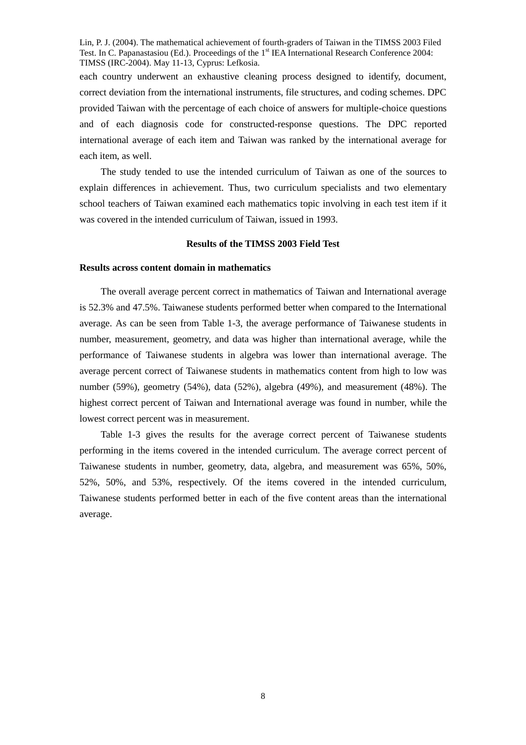each country underwent an exhaustive cleaning process designed to identify, document, correct deviation from the international instruments, file structures, and coding schemes. DPC provided Taiwan with the percentage of each choice of answers for multiple-choice questions and of each diagnosis code for constructed-response questions. The DPC reported international average of each item and Taiwan was ranked by the international average for each item, as well.

The study tended to use the intended curriculum of Taiwan as one of the sources to explain differences in achievement. Thus, two curriculum specialists and two elementary school teachers of Taiwan examined each mathematics topic involving in each test item if it was covered in the intended curriculum of Taiwan, issued in 1993.

#### **Results of the TIMSS 2003 Field Test**

## **Results across content domain in mathematics**

The overall average percent correct in mathematics of Taiwan and International average is 52.3% and 47.5%. Taiwanese students performed better when compared to the International average. As can be seen from Table 1-3, the average performance of Taiwanese students in number, measurement, geometry, and data was higher than international average, while the performance of Taiwanese students in algebra was lower than international average. The average percent correct of Taiwanese students in mathematics content from high to low was number (59%), geometry (54%), data (52%), algebra (49%), and measurement (48%). The highest correct percent of Taiwan and International average was found in number, while the lowest correct percent was in measurement.

Table 1-3 gives the results for the average correct percent of Taiwanese students performing in the items covered in the intended curriculum. The average correct percent of Taiwanese students in number, geometry, data, algebra, and measurement was 65%, 50%, 52%, 50%, and 53%, respectively. Of the items covered in the intended curriculum, Taiwanese students performed better in each of the five content areas than the international average.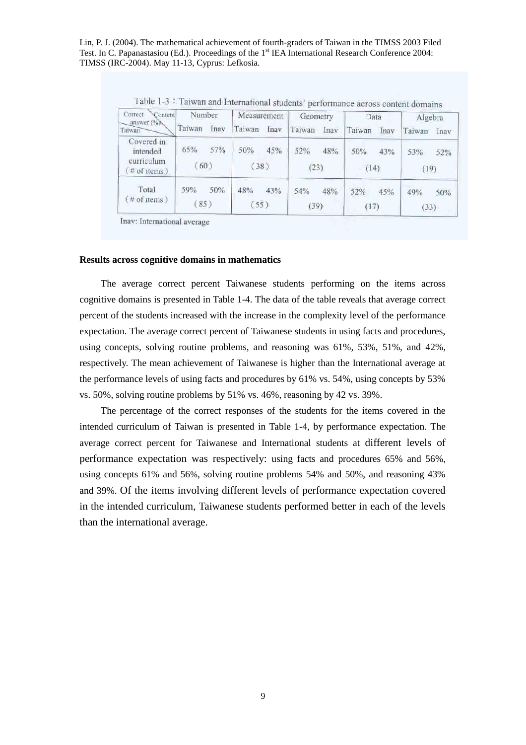| Correct<br>Content<br>answer (%)                           | Number<br>Taiwan<br>Inav |     | Measurement<br>Taiwan |      | Geometry    |      | Data        |      | Algebra     |      |
|------------------------------------------------------------|--------------------------|-----|-----------------------|------|-------------|------|-------------|------|-------------|------|
| Taiwan                                                     |                          |     |                       | Inav | Taiwan      | Inav | Taiwan      | Inav | Taiwan      | Inav |
| Covered in<br>intended<br>curriculum<br>$($ # of items $)$ | 65%<br>(60)              | 57% | 50%<br>(38)           | 45%  | 52%<br>(23) | 48%  | 50%<br>(14) | 43%  | 53%<br>(19) | 52%  |
| Total<br>$#$ of items)                                     | 59%<br>(85)              | 50% | 48%<br>(55)           | 43%  | 54%<br>(39) | 48%  | 52%<br>(17) | 45%  | 49%<br>(33) | 50%  |

Table 1-3: Taiwan and International students' performance across content domains

Inav: International average

## **Results across cognitive domains in mathematics**

The average correct percent Taiwanese students performing on the items across cognitive domains is presented in Table 1-4. The data of the table reveals that average correct percent of the students increased with the increase in the complexity level of the performance expectation. The average correct percent of Taiwanese students in using facts and procedures, using concepts, solving routine problems, and reasoning was 61%, 53%, 51%, and 42%, respectively. The mean achievement of Taiwanese is higher than the International average at the performance levels of using facts and procedures by 61% vs. 54%, using concepts by 53% vs. 50%, solving routine problems by 51% vs. 46%, reasoning by 42 vs. 39%.

The percentage of the correct responses of the students for the items covered in the intended curriculum of Taiwan is presented in Table 1-4, by performance expectation. The average correct percent for Taiwanese and International students at different levels of performance expectation was respectively: using facts and procedures 65% and 56%, using concepts 61% and 56%, solving routine problems 54% and 50%, and reasoning 43% and 39%. Of the items involving different levels of performance expectation covered in the intended curriculum, Taiwanese students performed better in each of the levels than the international average.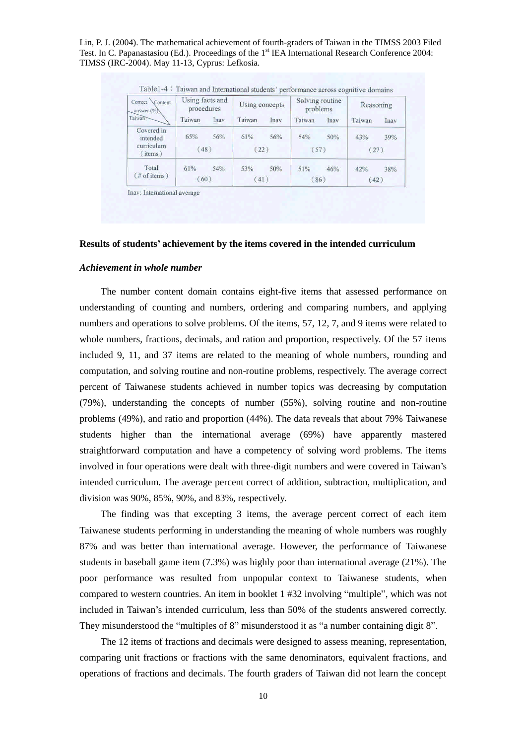| Correct Content<br>answer (%) | Using facts and<br>procedures |      | Using concepts |      | Solving routine<br>problems |      | Reasoning   |      |
|-------------------------------|-------------------------------|------|----------------|------|-----------------------------|------|-------------|------|
| Taiwan                        | Taiwan                        | Inav | Taiwan         | Inav | Taiwan                      | Inav | Taiwan      | Inav |
| Covered in<br>intended        | 65%                           | 56%  | 61%            | 56%  | 54%                         | 50%  | 43%         | 39%  |
| curriculum<br>(items)         | (48)                          |      | (22)           |      | (57)                        |      | (27)        |      |
| Total<br>$(\#$ of items)      | 61%<br>(60)                   | 54%  | 53%<br>(41)    | 50%  | 51%<br>(86)                 | 46%  | 42%<br>(42) | 38%  |

Inav: International average

#### **Results of students'achievement by the items covered in the intended curriculum**

## *Achievement in whole number*

The number content domain contains eight-five items that assessed performance on understanding of counting and numbers, ordering and comparing numbers, and applying numbers and operations to solve problems. Of the items, 57, 12, 7, and 9 items were related to whole numbers, fractions, decimals, and ration and proportion, respectively. Of the 57 items included 9, 11, and 37 items are related to the meaning of whole numbers, rounding and computation, and solving routine and non-routine problems, respectively. The average correct percent of Taiwanese students achieved in number topics was decreasing by computation (79%), understanding the concepts of number (55%), solving routine and non-routine problems (49%), and ratio and proportion (44%). The data reveals that about 79% Taiwanese students higher than the international average (69%) have apparently mastered straightforward computation and have a competency of solving word problems. The items involved in four operations were dealt with three-digit numbers and were covered in Taiwan's intended curriculum. The average percent correct of addition, subtraction, multiplication, and division was 90%, 85%, 90%, and 83%, respectively.

The finding was that excepting 3 items, the average percent correct of each item Taiwanese students performing in understanding the meaning of whole numbers was roughly 87% and was better than international average. However, the performance of Taiwanese students in baseball game item  $(7.3\%)$  was highly poor than international average  $(21\%)$ . The poor performance was resulted from unpopular context to Taiwanese students, when compared to western countries. An item in booklet 1 #32 involving "multiple", which was not included in Taiwan's intended curriculum, less than 50% of the students answered correctly. They misunderstood the "multiples of 8" misunderstood it as "a number containing digit 8".

The 12 items of fractions and decimals were designed to assess meaning, representation, comparing unit fractions or fractions with the same denominators, equivalent fractions, and operations of fractions and decimals. The fourth graders of Taiwan did not learn the concept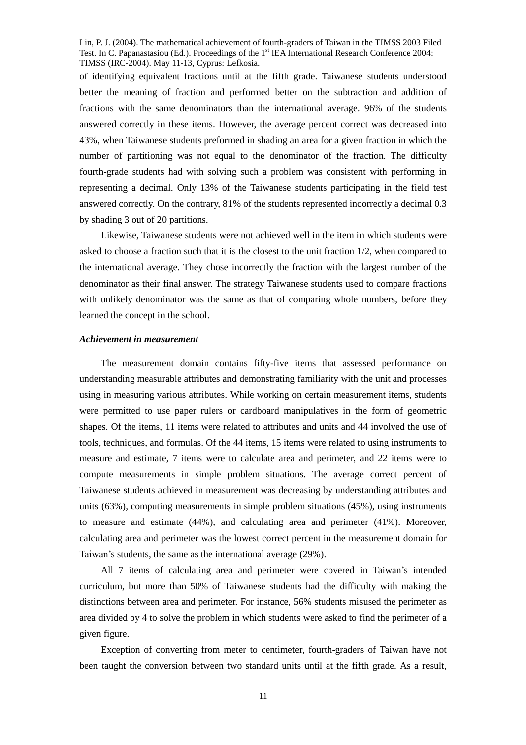of identifying equivalent fractions until at the fifth grade. Taiwanese students understood better the meaning of fraction and performed better on the subtraction and addition of fractions with the same denominators than the international average. 96% of the students answered correctly in these items. However, the average percent correct was decreased into 43%, when Taiwanese students preformed in shading an area for a given fraction in which the number of partitioning was not equal to the denominator of the fraction. The difficulty fourth-grade students had with solving such a problem was consistent with performing in representing a decimal. Only 13% of the Taiwanese students participating in the field test answered correctly. On the contrary, 81% of the students represented incorrectly a decimal 0.3 by shading 3 out of 20 partitions.

Likewise, Taiwanese students were not achieved well in the item in which students were asked to choose a fraction such that it is the closest to the unit fraction 1/2, when compared to the international average. They chose incorrectly the fraction with the largest number of the denominator as their final answer. The strategy Taiwanese students used to compare fractions with unlikely denominator was the same as that of comparing whole numbers, before they learned the concept in the school.

## *Achievement in measurement*

The measurement domain contains fifty-five items that assessed performance on understanding measurable attributes and demonstrating familiarity with the unit and processes using in measuring various attributes. While working on certain measurement items, students were permitted to use paper rulers or cardboard manipulatives in the form of geometric shapes. Of the items, 11 items were related to attributes and units and 44 involved the use of tools, techniques, and formulas. Of the 44 items, 15 items were related to using instruments to measure and estimate, 7 items were to calculate area and perimeter, and 22 items were to compute measurements in simple problem situations. The average correct percent of Taiwanese students achieved in measurement was decreasing by understanding attributes and units (63%), computing measurements in simple problem situations (45%), using instruments to measure and estimate (44%), and calculating area and perimeter (41%). Moreover, calculating area and perimeter was the lowest correct percent in the measurement domain for Taiwan's students, the same as the international average (29%).

All 7 items of calculating area and perimeter were covered in Taiwan's intended curriculum, but more than 50% of Taiwanese students had the difficulty with making the distinctions between area and perimeter. For instance, 56% students misused the perimeter as area divided by 4 to solve the problem in which students were asked to find the perimeter of a given figure.

Exception of converting from meter to centimeter, fourth-graders of Taiwan have not been taught the conversion between two standard units until at the fifth grade. As a result,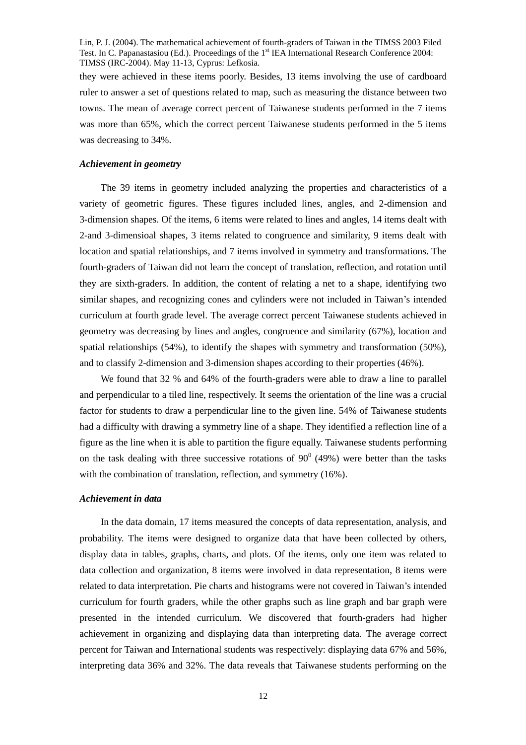they were achieved in these items poorly. Besides, 13 items involving the use of cardboard ruler to answer a set of questions related to map, such as measuring the distance between two towns. The mean of average correct percent of Taiwanese students performed in the 7 items was more than 65%, which the correct percent Taiwanese students performed in the 5 items was decreasing to 34%.

## *Achievement in geometry*

The 39 items in geometry included analyzing the properties and characteristics of a variety of geometric figures. These figures included lines, angles, and 2-dimension and 3-dimension shapes. Of the items, 6 items were related to lines and angles, 14 items dealt with 2-and 3-dimensioal shapes, 3 items related to congruence and similarity, 9 items dealt with location and spatial relationships, and 7 items involved in symmetry and transformations. The fourth-graders of Taiwan did not learn the concept of translation, reflection, and rotation until they are sixth-graders. In addition, the content of relating a net to a shape, identifying two similar shapes, and recognizing cones and cylinders were not included in Taiwan's intended curriculum at fourth grade level. The average correct percent Taiwanese students achieved in geometry was decreasing by lines and angles, congruence and similarity (67%), location and spatial relationships (54%), to identify the shapes with symmetry and transformation (50%), and to classify 2-dimension and 3-dimension shapes according to their properties (46%).

We found that 32 % and 64% of the fourth-graders were able to draw a line to parallel and perpendicular to a tiled line, respectively. It seems the orientation of the line was a crucial factor for students to draw a perpendicular line to the given line. 54% of Taiwanese students had a difficulty with drawing a symmetry line of a shape. They identified a reflection line of a figure as the line when it is able to partition the figure equally. Taiwanese students performing on the task dealing with three successive rotations of  $90^{\circ}$  (49%) were better than the tasks with the combination of translation, reflection, and symmetry (16%).

## *Achievement in data*

In the data domain, 17 items measured the concepts of data representation, analysis, and probability. The items were designed to organize data that have been collected by others, display data in tables, graphs, charts, and plots. Of the items, only one item was related to data collection and organization, 8 items were involved in data representation, 8 items were related to data interpretation. Pie charts and histograms were not covered in Taiwan's intended curriculum for fourth graders, while the other graphs such as line graph and bar graph were presented in the intended curriculum. We discovered that fourth-graders had higher achievement in organizing and displaying data than interpreting data. The average correct percent for Taiwan and International students was respectively: displaying data 67% and 56%, interpreting data 36% and 32%. The data reveals that Taiwanese students performing on the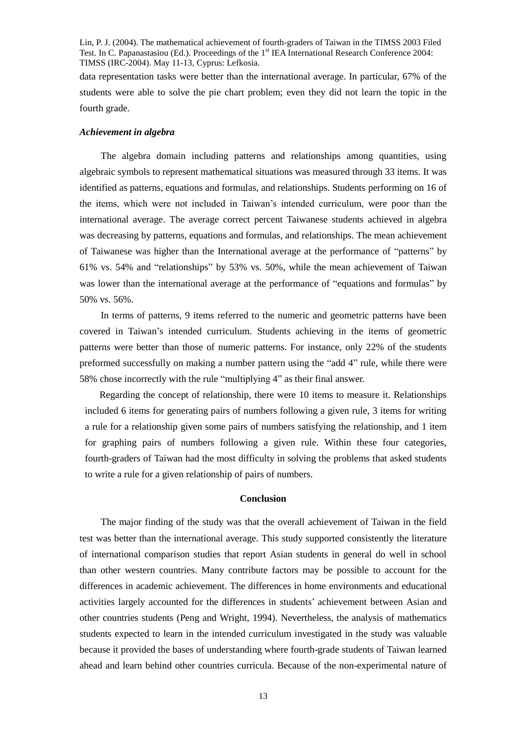data representation tasks were better than the international average. In particular, 67% of the students were able to solve the pie chart problem; even they did not learn the topic in the fourth grade.

## *Achievement in algebra*

The algebra domain including patterns and relationships among quantities, using algebraic symbols to represent mathematical situations was measured through 33 items. It was identified as patterns, equations and formulas, and relationships. Students performing on 16 of the items, which were not included in Taiwan's intended curriculum, were poor than the international average. The average correct percent Taiwanese students achieved in algebra was decreasing by patterns, equations and formulas, and relationships. The mean achievement of Taiwanese was higher than the International average at the performance of "patterns"by 61% vs. 54% and "relationships"by 53% vs. 50%, while the mean achievement of Taiwan was lower than the international average at the performance of "equations and formulas" by 50% vs. 56%.

In terms of patterns, 9 items referred to the numeric and geometric patterns have been covered in Taiwan's intended curriculum. Students achieving in the items of geometric patterns were better than those of numeric patterns. For instance, only 22% of the students preformed successfully on making a number pattern using the "add 4" rule, while there were 58% chose incorrectly with the rule "multiplying 4" as their final answer.

Regarding the concept of relationship, there were 10 items to measure it. Relationships included 6 items for generating pairs of numbers following a given rule, 3 items for writing a rule for a relationship given some pairs of numbers satisfying the relationship, and 1 item for graphing pairs of numbers following a given rule. Within these four categories, fourth-graders of Taiwan had the most difficulty in solving the problems that asked students to write a rule for a given relationship of pairs of numbers.

## **Conclusion**

The major finding of the study was that the overall achievement of Taiwan in the field test was better than the international average. This study supported consistently the literature of international comparison studies that report Asian students in general do well in school than other western countries. Many contribute factors may be possible to account for the differences in academic achievement. The differences in home environments and educational activities largely accounted for the differences in students'achievement between Asian and other countries students (Peng and Wright, 1994). Nevertheless, the analysis of mathematics students expected to learn in the intended curriculum investigated in the study was valuable because it provided the bases of understanding where fourth-grade students of Taiwan learned ahead and learn behind other countries curricula. Because of the non-experimental nature of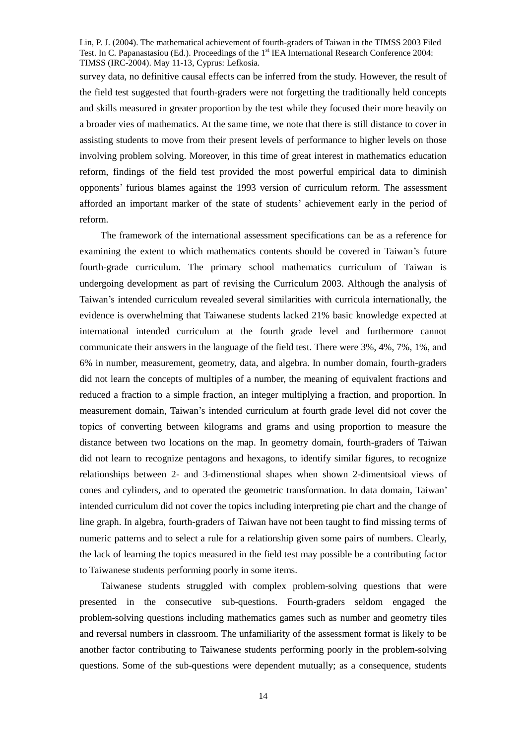survey data, no definitive causal effects can be inferred from the study. However, the result of the field test suggested that fourth-graders were not forgetting the traditionally held concepts and skills measured in greater proportion by the test while they focused their more heavily on a broader vies of mathematics. At the same time, we note that there is still distance to cover in assisting students to move from their present levels of performance to higher levels on those involving problem solving. Moreover, in this time of great interest in mathematics education reform, findings of the field test provided the most powerful empirical data to diminish opponents' furious blames against the 1993 version of curriculum reform. The assessment afforded an important marker of the state of students'achievement early in the period of reform.

The framework of the international assessment specifications can be as a reference for examining the extent to which mathematics contents should be covered in Taiwan's future fourth-grade curriculum. The primary school mathematics curriculum of Taiwan is undergoing development as part of revising the Curriculum 2003. Although the analysis of Taiwan's intended curriculum revealed several similarities with curricula internationally, the evidence is overwhelming that Taiwanese students lacked 21% basic knowledge expected at international intended curriculum at the fourth grade level and furthermore cannot communicate their answers in the language of the field test. There were 3%, 4%, 7%, 1%, and 6% in number, measurement, geometry, data, and algebra. In number domain, fourth-graders did not learn the concepts of multiples of a number, the meaning of equivalent fractions and reduced a fraction to a simple fraction, an integer multiplying a fraction, and proportion. In measurement domain, Taiwan's intended curriculum at fourth grade level did not cover the topics of converting between kilograms and grams and using proportion to measure the distance between two locations on the map. In geometry domain, fourth-graders of Taiwan did not learn to recognize pentagons and hexagons, to identify similar figures, to recognize relationships between 2- and 3-dimenstional shapes when shown 2-dimentsioal views of cones and cylinders, and to operated the geometric transformation. In data domain, Taiwan' intended curriculum did not cover the topics including interpreting pie chart and the change of line graph. In algebra, fourth-graders of Taiwan have not been taught to find missing terms of numeric patterns and to select a rule for a relationship given some pairs of numbers. Clearly, the lack of learning the topics measured in the field test may possible be a contributing factor to Taiwanese students performing poorly in some items.

Taiwanese students struggled with complex problem-solving questions that were presented in the consecutive sub-questions. Fourth-graders seldom engaged the problem-solving questions including mathematics games such as number and geometry tiles and reversal numbers in classroom. The unfamiliarity of the assessment format is likely to be another factor contributing to Taiwanese students performing poorly in the problem-solving questions. Some of the sub-questions were dependent mutually; as a consequence, students